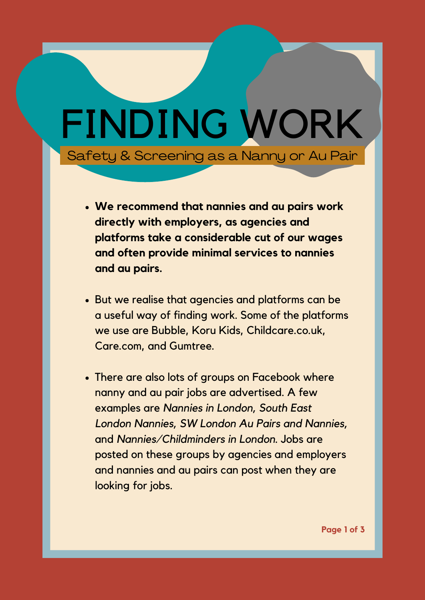## FINDING WORK Safety & Screening as a Nanny or Au Pair

- **We recommend that nannies and au pairs work directly with employers, as agencies and platforms take a considerable cut of our wages and often provide minimal services to nannies and au pairs.**
- But we realise that agencies and platforms can be a useful way of finding work. Some of the platforms we use are Bubble, Koru Kids, Childcare.co.uk, Care.com, and Gumtree.
- There are also lots of groups on Facebook where nanny and au pair jobs are advertised. A few examples are *Nannies in London, South East London Nannies, SW London Au Pairs and Nannies,* and *Nannies/Childminders in London*. Jobs are posted on these groups by agencies and employers and nannies and au pairs can post when they are looking for jobs.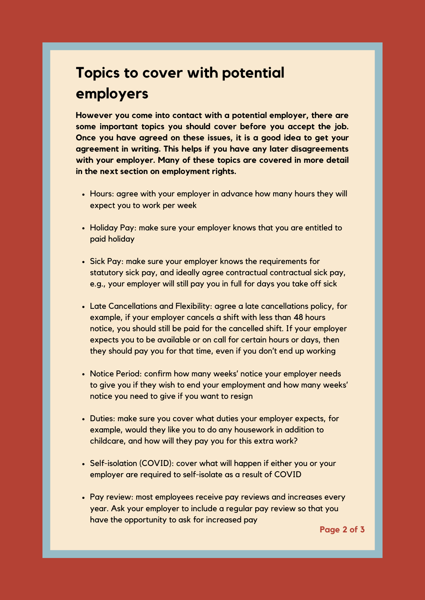## **Topics to cover with potential employers**

**However you come into contact with a potential employer, there are some important topics you should cover before you accept the job. Once you have agreed on these issues, it is a good idea to get your agreement in writing. This helps if you have any later disagreements with your employer. Many of these topics are covered in more detail in the next section on employment rights.**

- Hours: agree with your employer in advance how many hours they will expect you to work per week
- Holiday Pay: make sure your employer knows that you are entitled to paid holiday
- Sick Pay: make sure your employer knows the requirements for statutory sick pay, and ideally agree contractual contractual sick pay, e.g., your employer will still pay you in full for days you take off sick
- Late Cancellations and Flexibility: agree a late cancellations policy, for example, if your employer cancels a shift with less than 48 hours notice, you should still be paid for the cancelled shift. If your employer expects you to be available or on call for certain hours or days, then they should pay you for that time, even if you don't end up working
- Notice Period: confirm how many weeks' notice your employer needs to give you if they wish to end your employment and how many weeks' notice you need to give if you want to resign
- Duties: make sure you cover what duties your employer expects, for example, would they like you to do any housework in addition to childcare, and how will they pay you for this extra work?
- Self-isolation (COVID): cover what will happen if either you or your employer are required to self-isolate as a result of COVID
- Pay review: most employees receive pay reviews and increases every year. Ask your employer to include a regular pay review so that you have the opportunity to ask for increased pay

**Page 2 of 3**